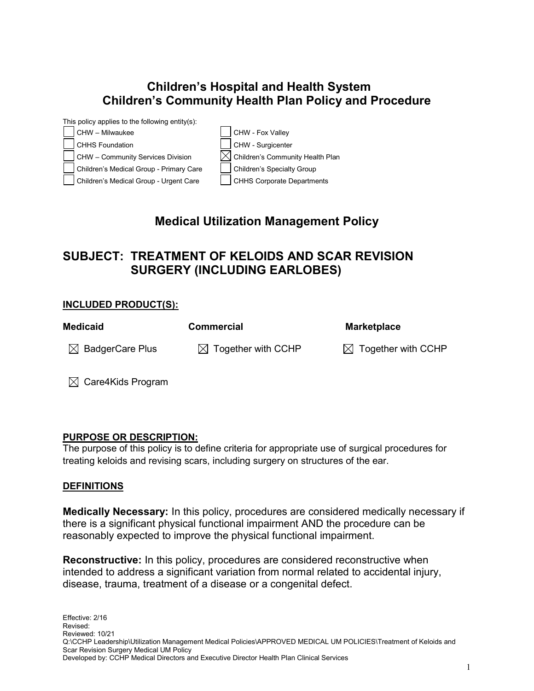# **Children's Hospital and Health System Children's Community Health Plan Policy and Procedure**



## **Medical Utilization Management Policy**

# **SUBJECT: TREATMENT OF KELOIDS AND SCAR REVISION SURGERY (INCLUDING EARLOBES)**

#### **INCLUDED PRODUCT(S):**

| <b>Medicaid</b>               | <b>Commercial</b>              | <b>Marketplace</b>             |
|-------------------------------|--------------------------------|--------------------------------|
| $\boxtimes$ BadgerCare Plus   | $\boxtimes$ Together with CCHP | $\boxtimes$ Together with CCHP |
| $\boxtimes$ Care4Kids Program |                                |                                |

#### **PURPOSE OR DESCRIPTION:**

The purpose of this policy is to define criteria for appropriate use of surgical procedures for treating keloids and revising scars, including surgery on structures of the ear.

#### **DEFINITIONS**

**Medically Necessary:** In this policy, procedures are considered medically necessary if there is a significant physical functional impairment AND the procedure can be reasonably expected to improve the physical functional impairment.

**Reconstructive:** In this policy, procedures are considered reconstructive when intended to address a significant variation from normal related to accidental injury, disease, trauma, treatment of a disease or a congenital defect.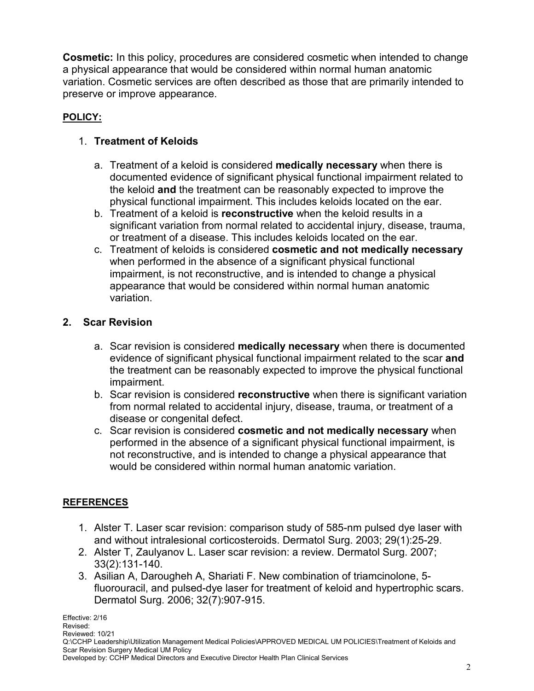**Cosmetic:** In this policy, procedures are considered cosmetic when intended to change a physical appearance that would be considered within normal human anatomic variation. Cosmetic services are often described as those that are primarily intended to preserve or improve appearance.

## **POLICY:**

## 1. **Treatment of Keloids**

- a. Treatment of a keloid is considered **medically necessary** when there is documented evidence of significant physical functional impairment related to the keloid **and** the treatment can be reasonably expected to improve the physical functional impairment. This includes keloids located on the ear.
- b. Treatment of a keloid is **reconstructive** when the keloid results in a significant variation from normal related to accidental injury, disease, trauma, or treatment of a disease. This includes keloids located on the ear.
- c. Treatment of keloids is considered **cosmetic and not medically necessary**  when performed in the absence of a significant physical functional impairment, is not reconstructive, and is intended to change a physical appearance that would be considered within normal human anatomic variation.

### **2. Scar Revision**

- a. Scar revision is considered **medically necessary** when there is documented evidence of significant physical functional impairment related to the scar **and** the treatment can be reasonably expected to improve the physical functional impairment.
- b. Scar revision is considered **reconstructive** when there is significant variation from normal related to accidental injury, disease, trauma, or treatment of a disease or congenital defect.
- c. Scar revision is considered **cosmetic and not medically necessary** when performed in the absence of a significant physical functional impairment, is not reconstructive, and is intended to change a physical appearance that would be considered within normal human anatomic variation.

### **REFERENCES**

- 1. Alster T. Laser scar revision: comparison study of 585-nm pulsed dye laser with and without intralesional corticosteroids. Dermatol Surg. 2003; 29(1):25-29.
- 2. Alster T, Zaulyanov L. Laser scar revision: a review. Dermatol Surg. 2007; 33(2):131-140.
- 3. Asilian A, Darougheh A, Shariati F. New combination of triamcinolone, 5 fluorouracil, and pulsed-dye laser for treatment of keloid and hypertrophic scars. Dermatol Surg. 2006; 32(7):907-915.